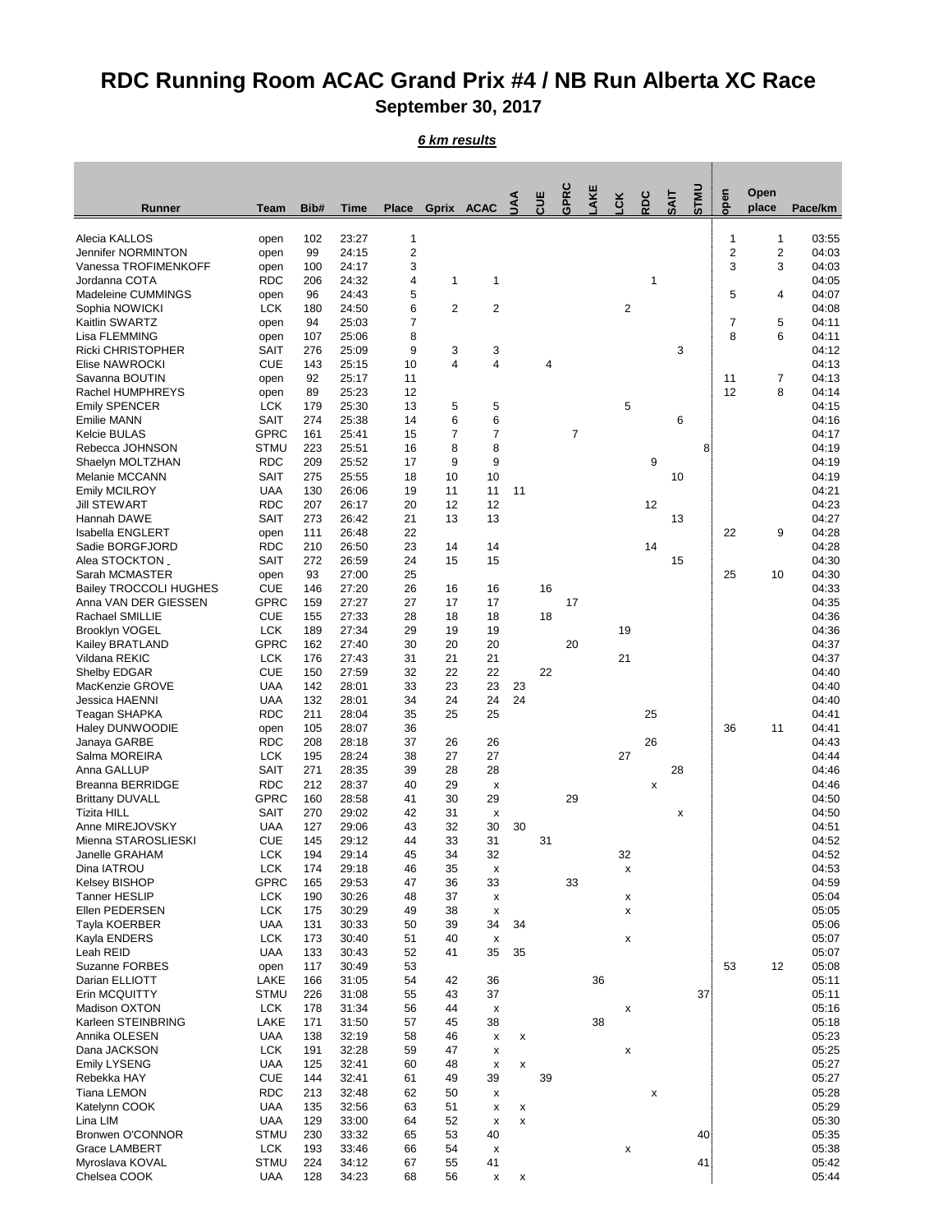## **RDC Running Room ACAC Grand Prix #4 / NB Run Alberta XC Race September 30, 2017**

*6 km results*

|                                                   |                            |            |                |              |                     |                           |              | Ηņ | <b>GPRC</b>    | AKE | čK             | <b>SOS</b> | $\overline{A}$ | STMU | open           | Open           |                |
|---------------------------------------------------|----------------------------|------------|----------------|--------------|---------------------|---------------------------|--------------|----|----------------|-----|----------------|------------|----------------|------|----------------|----------------|----------------|
| Runner                                            | <b>Team</b>                | Bib#       | <b>Time</b>    | <b>Place</b> | Gprix ACAC          |                           | ₹            |    |                |     |                |            |                |      |                | place          | Pace/km        |
| Alecia KALLOS                                     | open                       | 102        | 23:27          | 1            |                     |                           |              |    |                |     |                |            |                |      | 1              | 1              | 03:55          |
| <b>Jennifer NORMINTON</b>                         | open                       | 99         | 24:15          | $\mathbf 2$  |                     |                           |              |    |                |     |                |            |                |      | $\overline{c}$ | $\overline{c}$ | 04:03          |
| Vanessa TROFIMENKOFF                              | open                       | 100        | 24:17          | 3            |                     |                           |              |    |                |     |                |            |                |      | 3              | 3              | 04:03          |
| Jordanna COTA<br>Madeleine CUMMINGS               | <b>RDC</b><br>open         | 206<br>96  | 24:32<br>24:43 | 4<br>5       | 1                   | 1                         |              |    |                |     |                | 1          |                |      | 5              | 4              | 04:05<br>04:07 |
| Sophia NOWICKI                                    | <b>LCK</b>                 | 180        | 24:50          | 6            | 2                   | $\overline{2}$            |              |    |                |     | $\overline{2}$ |            |                |      |                |                | 04:08          |
| Kaitlin SWARTZ                                    | open                       | 94         | 25:03          | 7            |                     |                           |              |    |                |     |                |            |                |      | 7              | 5              | 04:11          |
| Lisa FLEMMING                                     | open                       | 107        | 25:06          | 8            |                     |                           |              |    |                |     |                |            |                |      | 8              | 6              | 04:11          |
| <b>Ricki CHRISTOPHER</b><br><b>Elise NAWROCKI</b> | <b>SAIT</b><br><b>CUE</b>  | 276<br>143 | 25:09<br>25:15 | 9<br>10      | 3<br>4              | 3<br>4                    |              | 4  |                |     |                |            | 3              |      |                |                | 04:12<br>04:13 |
| Savanna BOUTIN                                    | open                       | 92         | 25:17          | 11           |                     |                           |              |    |                |     |                |            |                |      | 11             | 7              | 04:13          |
| Rachel HUMPHREYS                                  | open                       | 89         | 25:23          | 12           |                     |                           |              |    |                |     |                |            |                |      | 12             | 8              | 04:14          |
| <b>Emily SPENCER</b>                              | <b>LCK</b>                 | 179        | 25:30          | 13           | 5                   | 5                         |              |    |                |     | 5              |            |                |      |                |                | 04:15          |
| <b>Emilie MANN</b><br><b>Kelcie BULAS</b>         | <b>SAIT</b><br><b>GPRC</b> | 274<br>161 | 25:38<br>25:41 | 14<br>15     | 6<br>$\overline{7}$ | 6<br>7                    |              |    | $\overline{7}$ |     |                |            | 6              |      |                |                | 04:16<br>04:17 |
| Rebecca JOHNSON                                   | <b>STMU</b>                | 223        | 25:51          | 16           | 8                   | 8                         |              |    |                |     |                |            |                | 8    |                |                | 04:19          |
| Shaelyn MOLTZHAN                                  | <b>RDC</b>                 | 209        | 25:52          | 17           | 9                   | 9                         |              |    |                |     |                | 9          |                |      |                |                | 04:19          |
| Melanie MCCANN                                    | <b>SAIT</b>                | 275        | 25:55          | 18           | 10                  | 10                        |              |    |                |     |                |            | 10             |      |                |                | 04:19          |
| <b>Emily MCILROY</b><br><b>Jill STEWART</b>       | <b>UAA</b><br><b>RDC</b>   | 130<br>207 | 26:06<br>26:17 | 19<br>20     | 11<br>12            | 11<br>12                  | 11           |    |                |     |                | 12         |                |      |                |                | 04:21<br>04:23 |
| Hannah DAWE                                       | <b>SAIT</b>                | 273        | 26:42          | 21           | 13                  | 13                        |              |    |                |     |                |            | 13             |      |                |                | 04:27          |
| <b>Isabella ENGLERT</b>                           | open                       | 111        | 26:48          | 22           |                     |                           |              |    |                |     |                |            |                |      | 22             | 9              | 04:28          |
| Sadie BORGFJORD                                   | <b>RDC</b>                 | 210        | 26:50          | 23           | 14                  | 14                        |              |    |                |     |                | 14         |                |      |                |                | 04:28          |
| Alea STOCKTON                                     | <b>SAIT</b>                | 272        | 26:59          | 24           | 15                  | 15                        |              |    |                |     |                |            | 15             |      |                |                | 04:30          |
| Sarah MCMASTER<br><b>Bailey TROCCOLI HUGHES</b>   | open<br><b>CUE</b>         | 93<br>146  | 27:00<br>27:20 | 25<br>26     | 16                  | 16                        |              | 16 |                |     |                |            |                |      | 25             | 10             | 04:30<br>04:33 |
| Anna VAN DER GIESSEN                              | <b>GPRC</b>                | 159        | 27:27          | 27           | 17                  | 17                        |              |    | 17             |     |                |            |                |      |                |                | 04:35          |
| Rachael SMILLIE                                   | <b>CUE</b>                 | 155        | 27:33          | 28           | 18                  | 18                        |              | 18 |                |     |                |            |                |      |                |                | 04:36          |
| <b>Brooklyn VOGEL</b>                             | <b>LCK</b>                 | 189        | 27:34          | 29           | 19                  | 19                        |              |    |                |     | 19             |            |                |      |                |                | 04:36          |
| Kailey BRATLAND<br>Vildana REKIC                  | <b>GPRC</b><br><b>LCK</b>  | 162<br>176 | 27:40<br>27:43 | 30<br>31     | 20<br>21            | 20<br>21                  |              |    | 20             |     | 21             |            |                |      |                |                | 04:37<br>04:37 |
| Shelby EDGAR                                      | <b>CUE</b>                 | 150        | 27:59          | 32           | 22                  | 22                        |              | 22 |                |     |                |            |                |      |                |                | 04:40          |
| MacKenzie GROVE                                   | <b>UAA</b>                 | 142        | 28:01          | 33           | 23                  | 23                        | 23           |    |                |     |                |            |                |      |                |                | 04:40          |
| Jessica HAENNI                                    | <b>UAA</b>                 | 132        | 28:01          | 34           | 24                  | 24                        | 24           |    |                |     |                |            |                |      |                |                | 04:40          |
| Teagan SHAPKA<br>Haley DUNWOODIE                  | <b>RDC</b><br>open         | 211<br>105 | 28:04<br>28:07 | 35<br>36     | 25                  | 25                        |              |    |                |     |                | 25         |                |      | 36             | 11             | 04:41<br>04:41 |
| Janaya GARBE                                      | <b>RDC</b>                 | 208        | 28:18          | 37           | 26                  | 26                        |              |    |                |     |                | 26         |                |      |                |                | 04:43          |
| Salma MOREIRA                                     | <b>LCK</b>                 | 195        | 28:24          | 38           | 27                  | 27                        |              |    |                |     | 27             |            |                |      |                |                | 04:44          |
| Anna GALLUP                                       | <b>SAIT</b>                | 271        | 28:35          | 39           | 28                  | 28                        |              |    |                |     |                |            | 28             |      |                |                | 04:46          |
| <b>Breanna BERRIDGE</b><br><b>Brittany DUVALL</b> | <b>RDC</b><br><b>GPRC</b>  | 212<br>160 | 28:37<br>28:58 | 40<br>41     | 29<br>30            | X<br>29                   |              |    | 29             |     |                | x          |                |      |                |                | 04:46<br>04:50 |
| <b>Tizita HILL</b>                                | <b>SAIT</b>                | 270        | 29:02          | 42           | 31                  | $\boldsymbol{\mathsf{X}}$ |              |    |                |     |                |            | X              |      |                |                | 04:50          |
| Anne MIREJOVSKY                                   | <b>UAA</b>                 | 127        | 29:06          | 43           | 32                  | 30                        | 30           |    |                |     |                |            |                |      |                |                | 04:51          |
| Mienna STAROSLIESKI                               | <b>CUE</b>                 | 145        | 29:12          | 44           | 33                  | 31                        |              | 31 |                |     |                |            |                |      |                |                | 04:52          |
| Janelle GRAHAM                                    | <b>LCK</b>                 | 194        | 29:14          | 45           | 34                  | 32                        |              |    |                |     | 32             |            |                |      |                |                | 04:52          |
| Dina IATROU<br><b>Kelsey BISHOP</b>               | <b>LCK</b><br><b>GPRC</b>  | 174<br>165 | 29:18<br>29:53 | 46<br>47     | 35<br>36            | X<br>33                   |              |    | 33             |     | X              |            |                |      |                |                | 04:53<br>04:59 |
| <b>Tanner HESLIP</b>                              | <b>LCK</b>                 | 190        | 30:26          | 48           | 37                  | X                         |              |    |                |     | Х              |            |                |      |                |                | 05:04          |
| Ellen PEDERSEN                                    | <b>LCK</b>                 | 175        | 30:29          | 49           | 38                  | X                         |              |    |                |     | X              |            |                |      |                |                | 05:05          |
| Tayla KOERBER                                     | <b>UAA</b>                 | 131        | 30:33          | 50           | 39                  | 34                        | 34           |    |                |     |                |            |                |      |                |                | 05:06          |
| Kayla ENDERS<br>Leah REID                         | <b>LCK</b><br><b>UAA</b>   | 173<br>133 | 30:40<br>30:43 | 51<br>52     | 40<br>41            | X<br>35                   | 35           |    |                |     | X              |            |                |      |                |                | 05:07<br>05:07 |
| <b>Suzanne FORBES</b>                             | open                       | 117        | 30:49          | 53           |                     |                           |              |    |                |     |                |            |                |      | 53             | 12             | 05:08          |
| Darian ELLIOTT                                    | LAKE                       | 166        | 31:05          | 54           | 42                  | 36                        |              |    |                | 36  |                |            |                |      |                |                | 05:11          |
| Erin MCQUITTY                                     | <b>STMU</b>                | 226        | 31:08          | 55           | 43                  | 37                        |              |    |                |     |                |            |                | 37   |                |                | 05:11          |
| Madison OXTON<br>Karleen STEINBRING               | <b>LCK</b><br>LAKE         | 178<br>171 | 31:34<br>31:50 | 56<br>57     | 44<br>45            | X<br>38                   |              |    |                | 38  | X              |            |                |      |                |                | 05:16<br>05:18 |
| Annika OLESEN                                     | <b>UAA</b>                 | 138        | 32:19          | 58           | 46                  | X                         | x            |    |                |     |                |            |                |      |                |                | 05:23          |
| Dana JACKSON                                      | <b>LCK</b>                 | 191        | 32:28          | 59           | 47                  | X                         |              |    |                |     | X              |            |                |      |                |                | 05:25          |
| <b>Emily LYSENG</b>                               | <b>UAA</b>                 | 125        | 32:41          | 60           | 48                  | Х                         | X            |    |                |     |                |            |                |      |                |                | 05:27          |
| Rebekka HAY                                       | <b>CUE</b>                 | 144        | 32:41          | 61<br>62     | 49                  | 39                        |              | 39 |                |     |                |            |                |      |                |                | 05:27          |
| <b>Tiana LEMON</b><br>Katelynn COOK               | <b>RDC</b><br><b>UAA</b>   | 213<br>135 | 32:48<br>32:56 | 63           | 50<br>51            | X<br>x                    | X            |    |                |     |                | x          |                |      |                |                | 05:28<br>05:29 |
| Lina LIM                                          | <b>UAA</b>                 | 129        | 33:00          | 64           | 52                  | X                         | X            |    |                |     |                |            |                |      |                |                | 05:30          |
| <b>Bronwen O'CONNOR</b>                           | <b>STMU</b>                | 230        | 33:32          | 65           | 53                  | 40                        |              |    |                |     |                |            |                | 40   |                |                | 05:35          |
| <b>Grace LAMBERT</b>                              | <b>LCK</b>                 | 193        | 33:46          | 66           | 54                  | х                         |              |    |                |     | X              |            |                |      |                |                | 05:38          |
| Myroslava KOVAL<br>Chelsea COOK                   | <b>STMU</b><br><b>UAA</b>  | 224<br>128 | 34:12<br>34:23 | 67<br>68     | 55<br>56            | 41<br>X                   | $\mathbf{x}$ |    |                |     |                |            |                | 41.  |                |                | 05:42<br>05:44 |